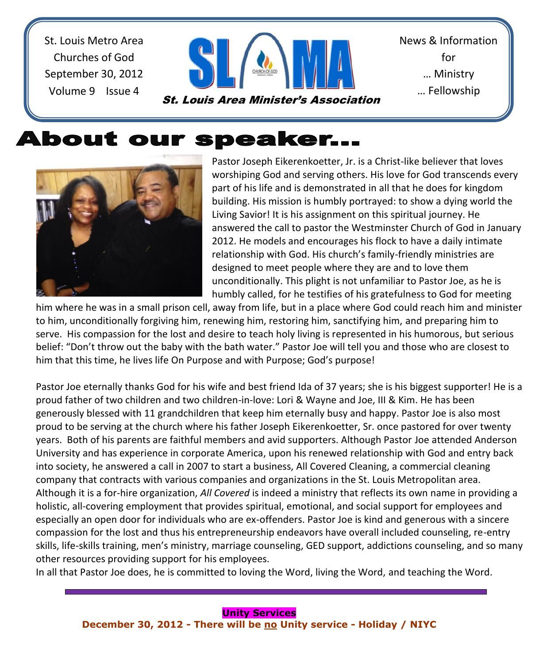St. Louis Metro Area Churches of God September 30, 2012 Volume 9 Issue 4



St. Louis Area Minister's Association

News & Information for … Ministry … Fellowship

# **About our speaker...**



Pastor Joseph Eikerenkoetter, Jr. is a Christ-like believer that loves worshiping God and serving others. His love for God transcends every part of his life and is demonstrated in all that he does for kingdom building. His mission is humbly portrayed: to show a dying world the Living Savior! It is his assignment on this spiritual journey. He answered the call to pastor the Westminster Church of God in January 2012. He models and encourages his flock to have a daily intimate relationship with God. His church's family-friendly ministries are designed to meet people where they are and to love them unconditionally. This plight is not unfamiliar to Pastor Joe, as he is humbly called, for he testifies of his gratefulness to God for meeting

him where he was in a small prison cell, away from life, but in a place where God could reach him and minister to him, unconditionally forgiving him, renewing him, restoring him, sanctifying him, and preparing him to serve. His compassion for the lost and desire to teach holy living is represented in his humorous, but serious belief: "Don't throw out the baby with the bath water." Pastor Joe will tell you and those who are closest to him that this time, he lives life On Purpose and with Purpose; God's purpose!

Pastor Joe eternally thanks God for his wife and best friend Ida of 37 years; she is his biggest supporter! He is a proud father of two children and two children-in-love: Lori & Wayne and Joe, III & Kim. He has been generously blessed with 11 grandchildren that keep him eternally busy and happy. Pastor Joe is also most proud to be serving at the church where his father Joseph Eikerenkoetter, Sr. once pastored for over twenty years. Both of his parents are faithful members and avid supporters. Although Pastor Joe attended Anderson University and has experience in corporate America, upon his renewed relationship with God and entry back into society, he answered a call in 2007 to start a business, All Covered Cleaning, a commercial cleaning company that contracts with various companies and organizations in the St. Louis Metropolitan area. Although it is a for-hire organization, *All Covered* is indeed a ministry that reflects its own name in providing a holistic, all-covering employment that provides spiritual, emotional, and social support for employees and especially an open door for individuals who are ex-offenders. Pastor Joe is kind and generous with a sincere compassion for the lost and thus his entrepreneurship endeavors have overall included counseling, re-entry skills, life-skills training, men's ministry, marriage counseling, GED support, addictions counseling, and so many other resources providing support for his employees.

In all that Pastor Joe does, he is committed to loving the Word, living the Word, and teaching the Word.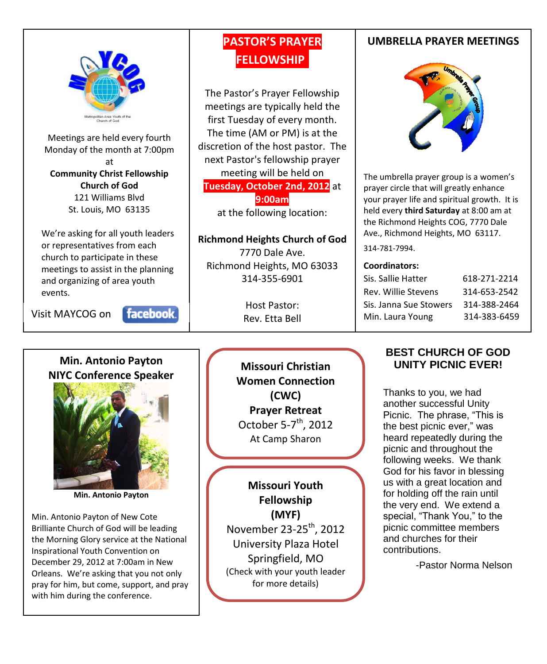

Meetings are held every fourth Monday of the month at 7:00pm at **Community Christ Fellowship Church of God** 121 Williams Blvd St. Louis, MO 63135

We're asking for all youth leaders or representatives from each church to participate in these meetings to assist in the planning and organizing of area youth events.

Visit MAYCOG on

 $\overline{\phantom{a}}$ 

facebook.

### **PASTOR'S PRAYER FELLOWSHIP.**

The Pastor's Prayer Fellowship meetings are typically held the first Tuesday of every month. The time (AM or PM) is at the discretion of the host pastor. The next Pastor's fellowship prayer meeting will be held on **Tuesday, October 2nd, 2012** at **9:00am**

at the following location:

**Richmond Heights Church of God** 7770 Dale Ave. Richmond Heights, MO 63033 314-355-6901

> Host Pastor: Rev. Etta Bell

#### **UMBRELLA PRAYER MEETINGS**



The umbrella prayer group is a women's prayer circle that will greatly enhance your prayer life and spiritual growth. It is held every **third Saturday** at 8:00 am at the Richmond Heights COG, 7770 Dale Ave., Richmond Heights, MO 63117.

314-781-7994.

#### **Coordinators:**

| Sis. Sallie Hatter     | 618-271-2214 |
|------------------------|--------------|
| Rev. Willie Stevens    | 314-653-2542 |
| Sis. Janna Sue Stowers | 314-388-2464 |
| Min. Laura Young       | 314-383-6459 |

### **Min. Antonio Payton NIYC Conference Speaker**



**Min. Antonio Payton**

Min. Antonio Payton of New Cote Brilliante Church of God will be leading the Morning Glory service at the National Inspirational Youth Convention on December 29, 2012 at 7:00am in New Orleans. We're asking that you not only pray for him, but come, support, and pray with him during the conference.

**Missouri Christian Women Connection (CWC) Prayer Retreat** October 5-7<sup>th</sup>, 2012 At Camp Sharon

**Missouri Youth Fellowship (MYF)** November 23-25<sup>th</sup>, 2012 University Plaza Hotel Springfield, MO (Check with your youth leader for more details)

#### **BEST CHURCH OF GOD UNITY PICNIC EVER!**

Thanks to you, we had another successful Unity Picnic. The phrase, "This is the best picnic ever," was heard repeatedly during the picnic and throughout the following weeks. We thank God for his favor in blessing us with a great location and for holding off the rain until the very end. We extend a special, "Thank You," to the picnic committee members and churches for their contributions.

-Pastor Norma Nelson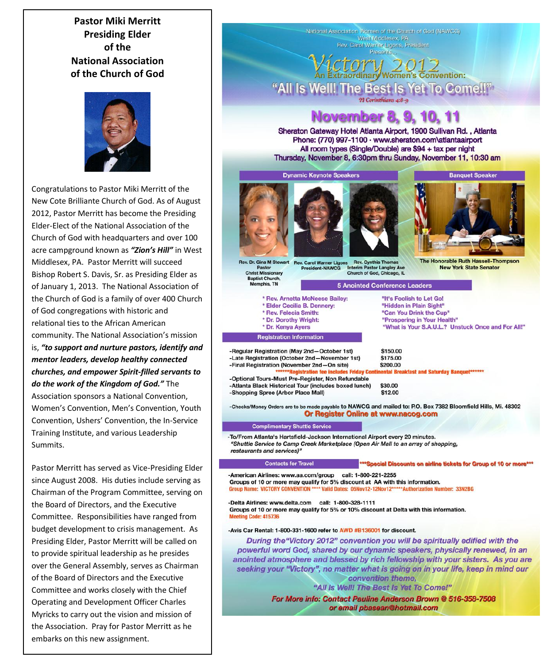**Pastor Miki Merritt Presiding Elder of the National Association of the Church of God**



Congratulations to Pastor Miki Merritt of the New Cote Brilliante Church of God. As of August 2012, Pastor Merritt has become the Presiding Elder-Elect of the National Association of the Church of God with headquarters and over 100 acre campground known as *"Zion's Hill"* in West Middlesex, PA. Pastor Merritt will succeed Bishop Robert S. Davis, Sr. as Presiding Elder as of January 1, 2013. The National Association of the Church of God is a family of over 400 Church of God congregations with historic and relational ties to the African American community. The National Association's mission is, *"to support and nurture pastors, identify and mentor leaders, develop healthy connected churches, and empower Spirit-filled servants to do the work of the Kingdom of God."* The Association sponsors a National Convention, Women's Convention, Men's Convention, Youth Convention, Ushers' Convention, the In-Service Training Institute, and various Leadership Summits.

Pastor Merritt has served as Vice-Presiding Elder since August 2008. His duties include serving as Chairman of the Program Committee, serving on the Board of Directors, and the Executive Committee. Responsibilities have ranged from budget development to crisis management. As Presiding Elder, Pastor Merritt will be called on to provide spiritual leadership as he presides over the General Assembly, serves as Chairman of the Board of Directors and the Executive Committee and works closely with the Chief Operating and Development Officer Charles Myricks to carry out the vision and mission of the Association. Pray for Pastor Merritt as he embarks on this new assignment.